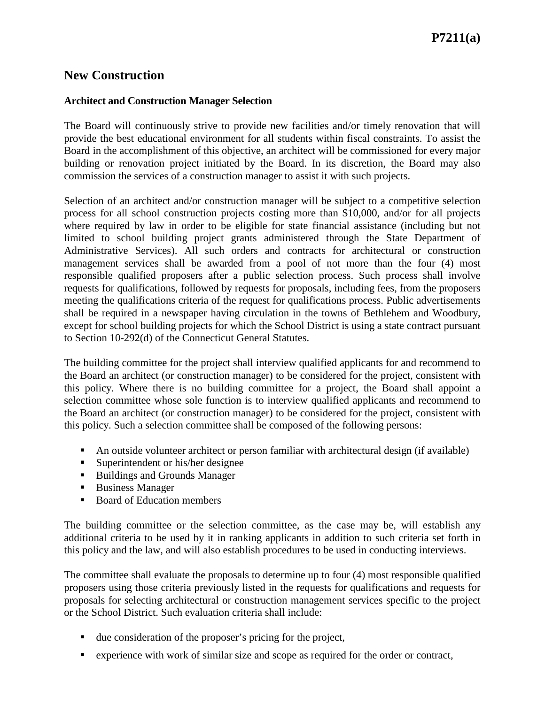## **New Construction**

## **Architect and Construction Manager Selection**

The Board will continuously strive to provide new facilities and/or timely renovation that will provide the best educational environment for all students within fiscal constraints. To assist the Board in the accomplishment of this objective, an architect will be commissioned for every major building or renovation project initiated by the Board. In its discretion, the Board may also commission the services of a construction manager to assist it with such projects.

Selection of an architect and/or construction manager will be subject to a competitive selection process for all school construction projects costing more than \$10,000, and/or for all projects where required by law in order to be eligible for state financial assistance (including but not limited to school building project grants administered through the State Department of Administrative Services). All such orders and contracts for architectural or construction management services shall be awarded from a pool of not more than the four (4) most responsible qualified proposers after a public selection process. Such process shall involve requests for qualifications, followed by requests for proposals, including fees, from the proposers meeting the qualifications criteria of the request for qualifications process. Public advertisements shall be required in a newspaper having circulation in the towns of Bethlehem and Woodbury, except for school building projects for which the School District is using a state contract pursuant to Section 10-292(d) of the Connecticut General Statutes.

The building committee for the project shall interview qualified applicants for and recommend to the Board an architect (or construction manager) to be considered for the project, consistent with this policy. Where there is no building committee for a project, the Board shall appoint a selection committee whose sole function is to interview qualified applicants and recommend to the Board an architect (or construction manager) to be considered for the project, consistent with this policy. Such a selection committee shall be composed of the following persons:

- An outside volunteer architect or person familiar with architectural design (if available)
- Superintendent or his/her designee
- Buildings and Grounds Manager
- Business Manager
- Board of Education members

The building committee or the selection committee, as the case may be, will establish any additional criteria to be used by it in ranking applicants in addition to such criteria set forth in this policy and the law, and will also establish procedures to be used in conducting interviews.

The committee shall evaluate the proposals to determine up to four (4) most responsible qualified proposers using those criteria previously listed in the requests for qualifications and requests for proposals for selecting architectural or construction management services specific to the project or the School District. Such evaluation criteria shall include:

- due consideration of the proposer's pricing for the project,
- experience with work of similar size and scope as required for the order or contract,